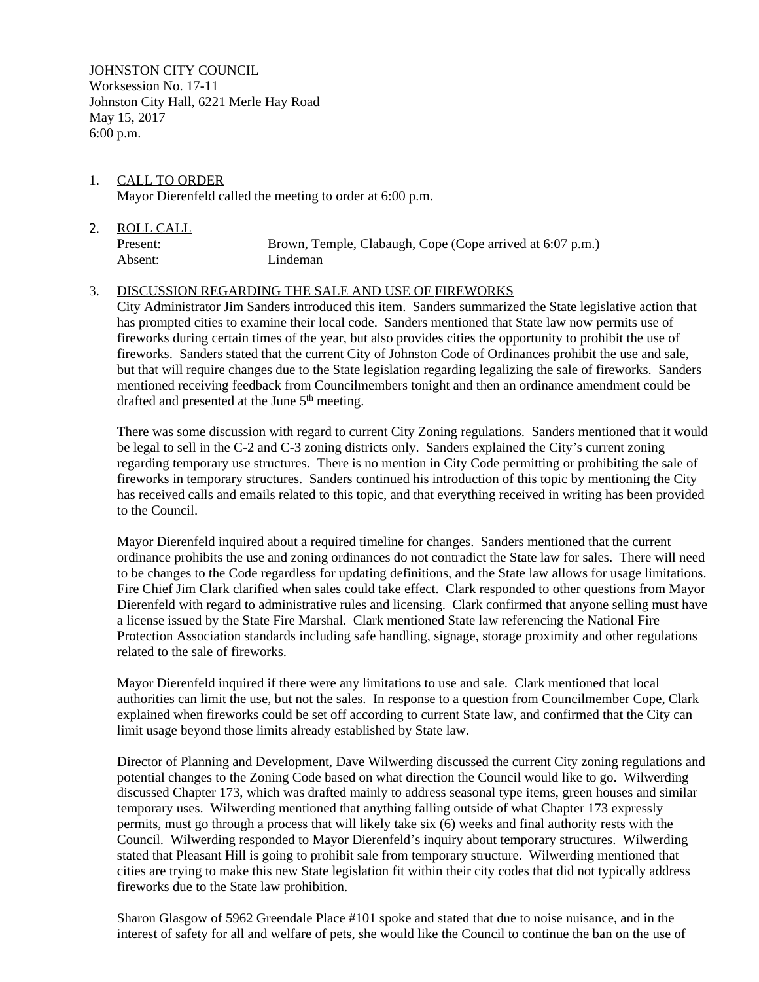JOHNSTON CITY COUNCIL Worksession No. 17-11 Johnston City Hall, 6221 Merle Hay Road May 15, 2017 6:00 p.m.

- 1. CALL TO ORDER Mayor Dierenfeld called the meeting to order at 6:00 p.m.
- 2. ROLL CALL Present: Brown, Temple, Clabaugh, Cope (Cope arrived at 6:07 p.m.) Absent: Lindeman

## 3. DISCUSSION REGARDING THE SALE AND USE OF FIREWORKS

City Administrator Jim Sanders introduced this item. Sanders summarized the State legislative action that has prompted cities to examine their local code. Sanders mentioned that State law now permits use of fireworks during certain times of the year, but also provides cities the opportunity to prohibit the use of fireworks. Sanders stated that the current City of Johnston Code of Ordinances prohibit the use and sale, but that will require changes due to the State legislation regarding legalizing the sale of fireworks. Sanders mentioned receiving feedback from Councilmembers tonight and then an ordinance amendment could be drafted and presented at the June 5th meeting.

There was some discussion with regard to current City Zoning regulations. Sanders mentioned that it would be legal to sell in the C-2 and C-3 zoning districts only. Sanders explained the City's current zoning regarding temporary use structures. There is no mention in City Code permitting or prohibiting the sale of fireworks in temporary structures. Sanders continued his introduction of this topic by mentioning the City has received calls and emails related to this topic, and that everything received in writing has been provided to the Council.

Mayor Dierenfeld inquired about a required timeline for changes. Sanders mentioned that the current ordinance prohibits the use and zoning ordinances do not contradict the State law for sales. There will need to be changes to the Code regardless for updating definitions, and the State law allows for usage limitations. Fire Chief Jim Clark clarified when sales could take effect. Clark responded to other questions from Mayor Dierenfeld with regard to administrative rules and licensing. Clark confirmed that anyone selling must have a license issued by the State Fire Marshal. Clark mentioned State law referencing the National Fire Protection Association standards including safe handling, signage, storage proximity and other regulations related to the sale of fireworks.

Mayor Dierenfeld inquired if there were any limitations to use and sale. Clark mentioned that local authorities can limit the use, but not the sales. In response to a question from Councilmember Cope, Clark explained when fireworks could be set off according to current State law, and confirmed that the City can limit usage beyond those limits already established by State law.

Director of Planning and Development, Dave Wilwerding discussed the current City zoning regulations and potential changes to the Zoning Code based on what direction the Council would like to go. Wilwerding discussed Chapter 173, which was drafted mainly to address seasonal type items, green houses and similar temporary uses. Wilwerding mentioned that anything falling outside of what Chapter 173 expressly permits, must go through a process that will likely take six (6) weeks and final authority rests with the Council. Wilwerding responded to Mayor Dierenfeld's inquiry about temporary structures. Wilwerding stated that Pleasant Hill is going to prohibit sale from temporary structure. Wilwerding mentioned that cities are trying to make this new State legislation fit within their city codes that did not typically address fireworks due to the State law prohibition.

Sharon Glasgow of 5962 Greendale Place #101 spoke and stated that due to noise nuisance, and in the interest of safety for all and welfare of pets, she would like the Council to continue the ban on the use of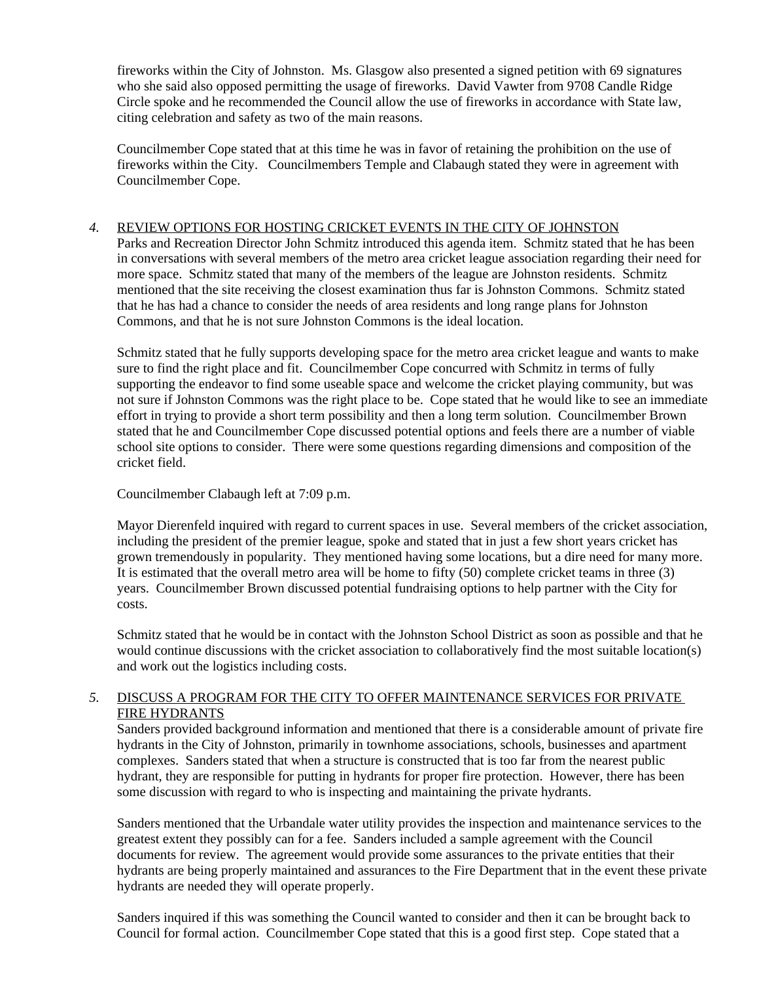fireworks within the City of Johnston. Ms. Glasgow also presented a signed petition with 69 signatures who she said also opposed permitting the usage of fireworks. David Vawter from 9708 Candle Ridge Circle spoke and he recommended the Council allow the use of fireworks in accordance with State law, citing celebration and safety as two of the main reasons.

Councilmember Cope stated that at this time he was in favor of retaining the prohibition on the use of fireworks within the City. Councilmembers Temple and Clabaugh stated they were in agreement with Councilmember Cope.

## *4.* REVIEW OPTIONS FOR HOSTING CRICKET EVENTS IN THE CITY OF JOHNSTON

Parks and Recreation Director John Schmitz introduced this agenda item. Schmitz stated that he has been in conversations with several members of the metro area cricket league association regarding their need for more space. Schmitz stated that many of the members of the league are Johnston residents. Schmitz mentioned that the site receiving the closest examination thus far is Johnston Commons. Schmitz stated that he has had a chance to consider the needs of area residents and long range plans for Johnston Commons, and that he is not sure Johnston Commons is the ideal location.

Schmitz stated that he fully supports developing space for the metro area cricket league and wants to make sure to find the right place and fit. Councilmember Cope concurred with Schmitz in terms of fully supporting the endeavor to find some useable space and welcome the cricket playing community, but was not sure if Johnston Commons was the right place to be. Cope stated that he would like to see an immediate effort in trying to provide a short term possibility and then a long term solution. Councilmember Brown stated that he and Councilmember Cope discussed potential options and feels there are a number of viable school site options to consider. There were some questions regarding dimensions and composition of the cricket field.

Councilmember Clabaugh left at 7:09 p.m.

Mayor Dierenfeld inquired with regard to current spaces in use. Several members of the cricket association, including the president of the premier league, spoke and stated that in just a few short years cricket has grown tremendously in popularity. They mentioned having some locations, but a dire need for many more. It is estimated that the overall metro area will be home to fifty (50) complete cricket teams in three (3) years. Councilmember Brown discussed potential fundraising options to help partner with the City for costs.

Schmitz stated that he would be in contact with the Johnston School District as soon as possible and that he would continue discussions with the cricket association to collaboratively find the most suitable location(s) and work out the logistics including costs.

## *5.* DISCUSS A PROGRAM FOR THE CITY TO OFFER MAINTENANCE SERVICES FOR PRIVATE FIRE HYDRANTS

Sanders provided background information and mentioned that there is a considerable amount of private fire hydrants in the City of Johnston, primarily in townhome associations, schools, businesses and apartment complexes. Sanders stated that when a structure is constructed that is too far from the nearest public hydrant, they are responsible for putting in hydrants for proper fire protection. However, there has been some discussion with regard to who is inspecting and maintaining the private hydrants.

Sanders mentioned that the Urbandale water utility provides the inspection and maintenance services to the greatest extent they possibly can for a fee. Sanders included a sample agreement with the Council documents for review. The agreement would provide some assurances to the private entities that their hydrants are being properly maintained and assurances to the Fire Department that in the event these private hydrants are needed they will operate properly.

Sanders inquired if this was something the Council wanted to consider and then it can be brought back to Council for formal action. Councilmember Cope stated that this is a good first step. Cope stated that a